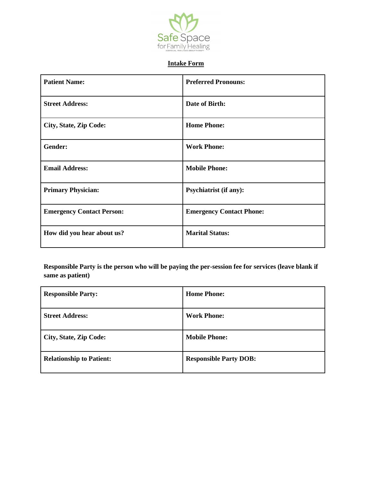

## **Intake Form**

| <b>Patient Name:</b>             | <b>Preferred Pronouns:</b>      |
|----------------------------------|---------------------------------|
| <b>Street Address:</b>           | Date of Birth:                  |
| City, State, Zip Code:           | <b>Home Phone:</b>              |
| Gender:                          | <b>Work Phone:</b>              |
| <b>Email Address:</b>            | <b>Mobile Phone:</b>            |
| <b>Primary Physician:</b>        | <b>Psychiatrist (if any):</b>   |
| <b>Emergency Contact Person:</b> | <b>Emergency Contact Phone:</b> |
| How did you hear about us?       | <b>Marital Status:</b>          |

**Responsible Party is the person who will be paying the per-session fee for services (leave blank if same as patient)**

| <b>Responsible Party:</b>       | <b>Home Phone:</b>            |
|---------------------------------|-------------------------------|
| <b>Street Address:</b>          | <b>Work Phone:</b>            |
| City, State, Zip Code:          | <b>Mobile Phone:</b>          |
| <b>Relationship to Patient:</b> | <b>Responsible Party DOB:</b> |